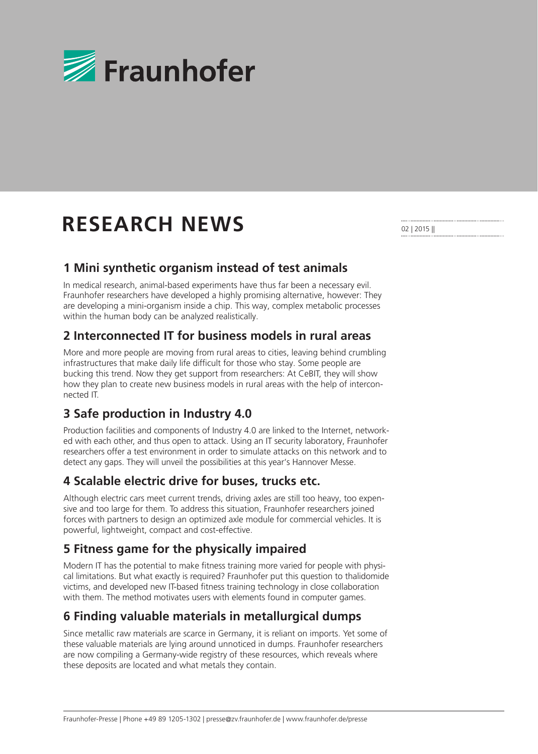

# **RESEARCH NEWS**

02 | 2015 ||

## **1 Mini synthetic organism instead of test animals**

In medical research, animal-based experiments have thus far been a necessary evil. Fraunhofer researchers have developed a highly promising alternative, however: They are developing a mini-organism inside a chip. This way, complex metabolic processes within the human body can be analyzed realistically.

## **2 Interconnected IT for business models in rural areas**

More and more people are moving from rural areas to cities, leaving behind crumbling infrastructures that make daily life difficult for those who stay. Some people are bucking this trend. Now they get support from researchers: At CeBIT, they will show how they plan to create new business models in rural areas with the help of interconnected IT.

# **3 Safe production in Industry 4.0**

Production facilities and components of Industry 4.0 are linked to the Internet, networked with each other, and thus open to attack. Using an IT security laboratory, Fraunhofer researchers offer a test environment in order to simulate attacks on this network and to detect any gaps. They will unveil the possibilities at this year's Hannover Messe.

# **4 Scalable electric drive for buses, trucks etc.**

Although electric cars meet current trends, driving axles are still too heavy, too expensive and too large for them. To address this situation, Fraunhofer researchers joined forces with partners to design an optimized axle module for commercial vehicles. It is powerful, lightweight, compact and cost-effective.

# **5 Fitness game for the physically impaired**

Modern IT has the potential to make fitness training more varied for people with physical limitations. But what exactly is required? Fraunhofer put this question to thalidomide victims, and developed new IT-based fitness training technology in close collaboration with them. The method motivates users with elements found in computer games.

# **6 Finding valuable materials in metallurgical dumps**

Since metallic raw materials are scarce in Germany, it is reliant on imports. Yet some of these valuable materials are lying around unnoticed in dumps. Fraunhofer researchers are now compiling a Germany-wide registry of these resources, which reveals where these deposits are located and what metals they contain.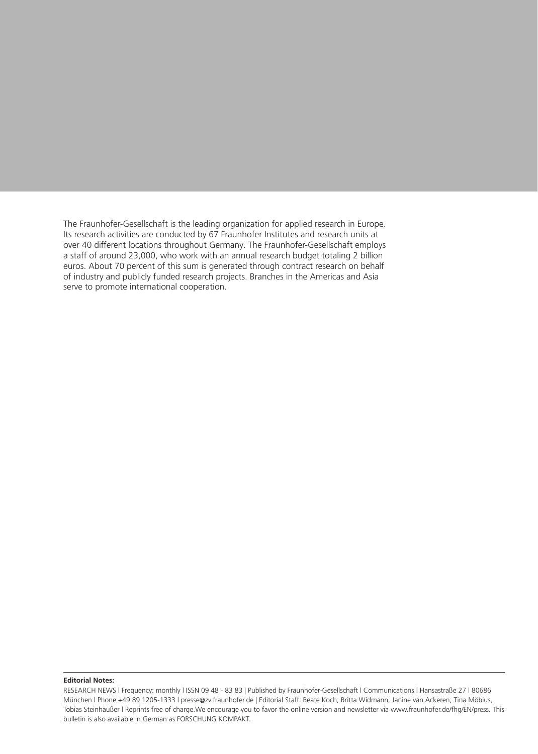The Fraunhofer-Gesellschaft is the leading organization for applied research in Europe. Its research activities are conducted by 67 Fraunhofer Institutes and research units at over 40 different locations throughout Germany. The Fraunhofer-Gesellschaft employs a staff of around 23,000, who work with an annual research budget totaling 2 billion euros. About 70 percent of this sum is generated through contract research on behalf of industry and publicly funded research projects. Branches in the Americas and Asia serve to promote international cooperation.

#### **Editorial Notes:**

RESEARCH NEWS l Frequency: monthly l ISSN 09 48 - 83 83 | Published by Fraunhofer-Gesellschaft l Communications l Hansastraße 27 l 80686 München l Phone +49 89 1205-1333 l presse@zv.fraunhofer.de | Editorial Staff: Beate Koch, Britta Widmann, Janine van Ackeren, Tina Möbius, Tobias Steinhäußer l Reprints free of charge.We encourage you to favor the online version and newsletter via www.fraunhofer.de/fhg/EN/press. This bulletin is also available in German as FORSCHUNG KOMPAKT.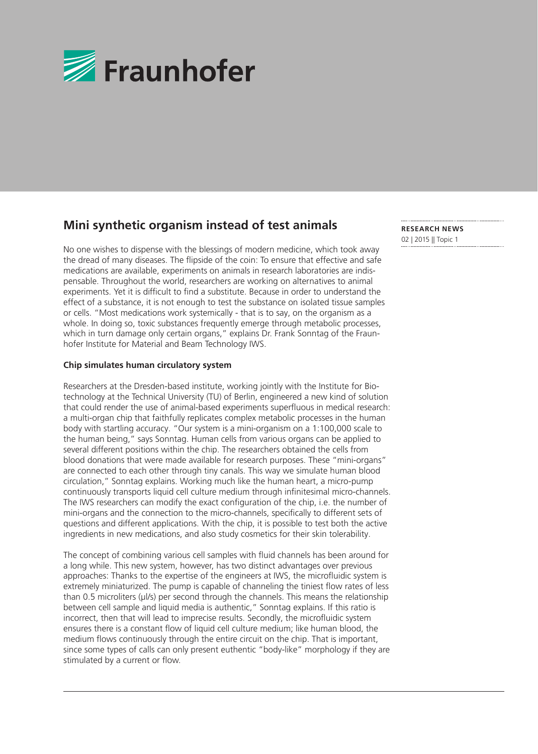

## **Mini synthetic organism instead of test animals**

No one wishes to dispense with the blessings of modern medicine, which took away the dread of many diseases. The flipside of the coin: To ensure that effective and safe medications are available, experiments on animals in research laboratories are indispensable. Throughout the world, researchers are working on alternatives to animal experiments. Yet it is difficult to find a substitute. Because in order to understand the effect of a substance, it is not enough to test the substance on isolated tissue samples or cells. "Most medications work systemically - that is to say, on the organism as a whole. In doing so, toxic substances frequently emerge through metabolic processes, which in turn damage only certain organs," explains Dr. Frank Sonntag of the Fraunhofer Institute for Material and Beam Technology IWS.

#### **Chip simulates human circulatory system**

Researchers at the Dresden-based institute, working jointly with the Institute for Biotechnology at the Technical University (TU) of Berlin, engineered a new kind of solution that could render the use of animal-based experiments superfluous in medical research: a multi-organ chip that faithfully replicates complex metabolic processes in the human body with startling accuracy. "Our system is a mini-organism on a 1:100,000 scale to the human being," says Sonntag. Human cells from various organs can be applied to several different positions within the chip. The researchers obtained the cells from blood donations that were made available for research purposes. These "mini-organs" are connected to each other through tiny canals. This way we simulate human blood circulation," Sonntag explains. Working much like the human heart, a micro-pump continuously transports liquid cell culture medium through infinitesimal micro-channels. The IWS researchers can modify the exact configuration of the chip, i.e. the number of mini-organs and the connection to the micro-channels, specifically to different sets of questions and different applications. With the chip, it is possible to test both the active ingredients in new medications, and also study cosmetics for their skin tolerability.

The concept of combining various cell samples with fluid channels has been around for a long while. This new system, however, has two distinct advantages over previous approaches: Thanks to the expertise of the engineers at IWS, the microfluidic system is extremely miniaturized. The pump is capable of channeling the tiniest flow rates of less than 0.5 microliters (µl/s) per second through the channels. This means the relationship between cell sample and liquid media is authentic," Sonntag explains. If this ratio is incorrect, then that will lead to imprecise results. Secondly, the microfluidic system ensures there is a constant flow of liquid cell culture medium; like human blood, the medium flows continuously through the entire circuit on the chip. That is important, since some types of calls can only present euthentic "body-like" morphology if they are stimulated by a current or flow.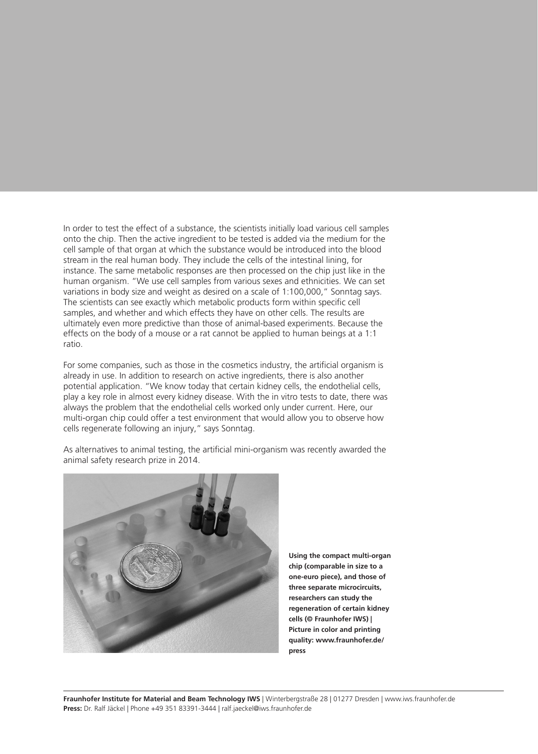In order to test the effect of a substance, the scientists initially load various cell samples onto the chip. Then the active ingredient to be tested is added via the medium for the cell sample of that organ at which the substance would be introduced into the blood stream in the real human body. They include the cells of the intestinal lining, for instance. The same metabolic responses are then processed on the chip just like in the human organism. "We use cell samples from various sexes and ethnicities. We can set variations in body size and weight as desired on a scale of 1:100,000," Sonntag says. The scientists can see exactly which metabolic products form within specific cell samples, and whether and which effects they have on other cells. The results are ultimately even more predictive than those of animal-based experiments. Because the effects on the body of a mouse or a rat cannot be applied to human beings at a 1:1 ratio.

For some companies, such as those in the cosmetics industry, the artificial organism is already in use. In addition to research on active ingredients, there is also another potential application. "We know today that certain kidney cells, the endothelial cells, play a key role in almost every kidney disease. With the in vitro tests to date, there was always the problem that the endothelial cells worked only under current. Here, our multi-organ chip could offer a test environment that would allow you to observe how cells regenerate following an injury," says Sonntag.



As alternatives to animal testing, the artificial mini-organism was recently awarded the animal safety research prize in 2014.

> **Using the compact multi-organ chip (comparable in size to a one-euro piece), and those of three separate microcircuits, researchers can study the regeneration of certain kidney cells (© Fraunhofer IWS) | Picture in color and printing quality: www.fraunhofer.de/ press**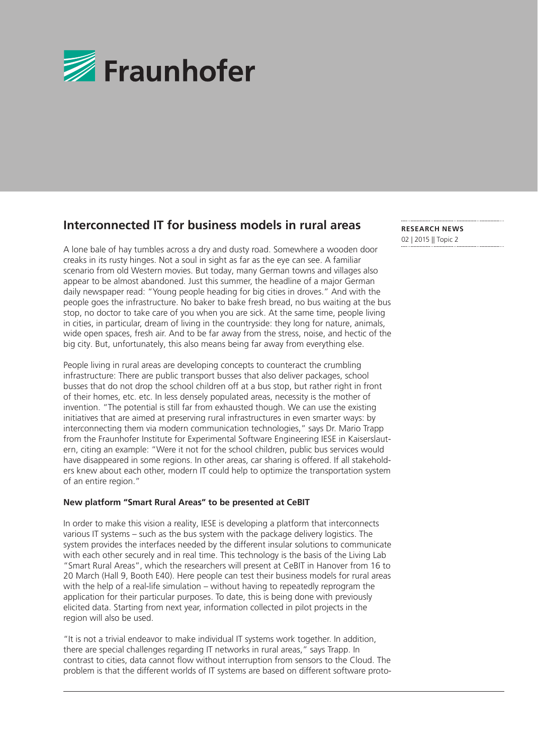

## **Interconnected IT for business models in rural areas**

A lone bale of hay tumbles across a dry and dusty road. Somewhere a wooden door creaks in its rusty hinges. Not a soul in sight as far as the eye can see. A familiar scenario from old Western movies. But today, many German towns and villages also appear to be almost abandoned. Just this summer, the headline of a major German daily newspaper read: "Young people heading for big cities in droves." And with the people goes the infrastructure. No baker to bake fresh bread, no bus waiting at the bus stop, no doctor to take care of you when you are sick. At the same time, people living in cities, in particular, dream of living in the countryside: they long for nature, animals, wide open spaces, fresh air. And to be far away from the stress, noise, and hectic of the big city. But, unfortunately, this also means being far away from everything else.

People living in rural areas are developing concepts to counteract the crumbling infrastructure: There are public transport busses that also deliver packages, school busses that do not drop the school children off at a bus stop, but rather right in front of their homes, etc. etc. In less densely populated areas, necessity is the mother of invention. "The potential is still far from exhausted though. We can use the existing initiatives that are aimed at preserving rural infrastructures in even smarter ways: by interconnecting them via modern communication technologies," says Dr. Mario Trapp from the Fraunhofer Institute for Experimental Software Engineering IESE in Kaiserslautern, citing an example: "Were it not for the school children, public bus services would have disappeared in some regions. In other areas, car sharing is offered. If all stakeholders knew about each other, modern IT could help to optimize the transportation system of an entire region."

### **New platform "Smart Rural Areas" to be presented at CeBIT**

In order to make this vision a reality, IESE is developing a platform that interconnects various IT systems – such as the bus system with the package delivery logistics. The system provides the interfaces needed by the different insular solutions to communicate with each other securely and in real time. This technology is the basis of the Living Lab "Smart Rural Areas", which the researchers will present at CeBIT in Hanover from 16 to 20 March (Hall 9, Booth E40). Here people can test their business models for rural areas with the help of a real-life simulation – without having to repeatedly reprogram the application for their particular purposes. To date, this is being done with previously elicited data. Starting from next year, information collected in pilot projects in the region will also be used.

"It is not a trivial endeavor to make individual IT systems work together. In addition, there are special challenges regarding IT networks in rural areas," says Trapp. In contrast to cities, data cannot flow without interruption from sensors to the Cloud. The problem is that the different worlds of IT systems are based on different software proto-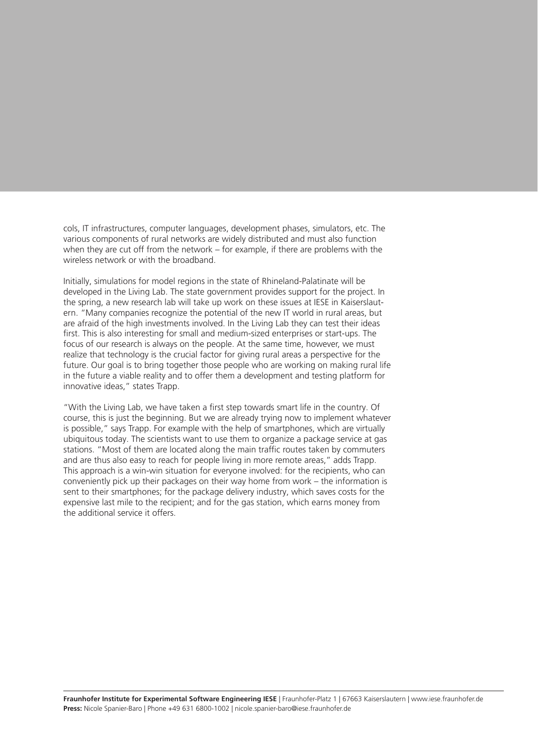cols, IT infrastructures, computer languages, development phases, simulators, etc. The various components of rural networks are widely distributed and must also function when they are cut off from the network – for example, if there are problems with the wireless network or with the broadband.

Initially, simulations for model regions in the state of Rhineland-Palatinate will be developed in the Living Lab. The state government provides support for the project. In the spring, a new research lab will take up work on these issues at IESE in Kaiserslautern. "Many companies recognize the potential of the new IT world in rural areas, but are afraid of the high investments involved. In the Living Lab they can test their ideas first. This is also interesting for small and medium-sized enterprises or start-ups. The focus of our research is always on the people. At the same time, however, we must realize that technology is the crucial factor for giving rural areas a perspective for the future. Our goal is to bring together those people who are working on making rural life in the future a viable reality and to offer them a development and testing platform for innovative ideas," states Trapp.

"With the Living Lab, we have taken a first step towards smart life in the country. Of course, this is just the beginning. But we are already trying now to implement whatever is possible," says Trapp. For example with the help of smartphones, which are virtually ubiquitous today. The scientists want to use them to organize a package service at gas stations. "Most of them are located along the main traffic routes taken by commuters and are thus also easy to reach for people living in more remote areas," adds Trapp. This approach is a win-win situation for everyone involved: for the recipients, who can conveniently pick up their packages on their way home from work – the information is sent to their smartphones; for the package delivery industry, which saves costs for the expensive last mile to the recipient; and for the gas station, which earns money from the additional service it offers.

**Fraunhofer Institute for Experimental Software Engineering IESE** | Fraunhofer-Platz 1 | 67663 Kaiserslautern | www.iese.fraunhofer.de **Press:** Nicole Spanier-Baro | Phone +49 631 6800-1002 | nicole.spanier-baro@iese.fraunhofer.de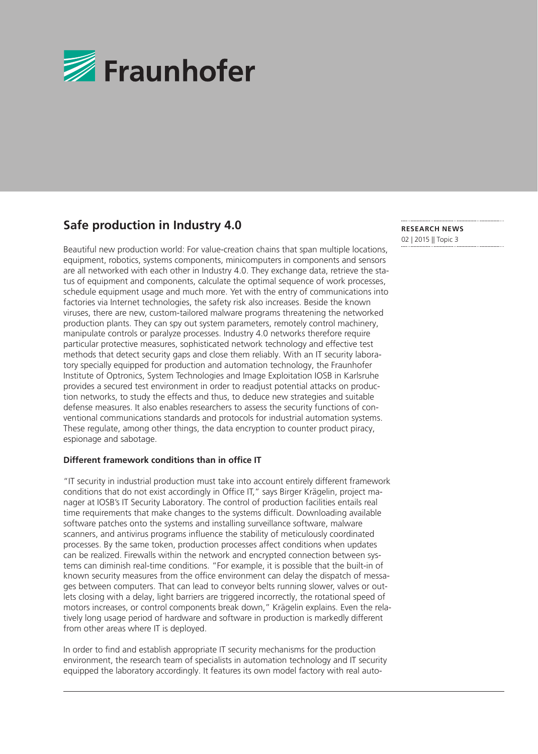

# **Safe production in Industry 4.0**

Beautiful new production world: For value-creation chains that span multiple locations, equipment, robotics, systems components, minicomputers in components and sensors are all networked with each other in Industry 4.0. They exchange data, retrieve the status of equipment and components, calculate the optimal sequence of work processes, schedule equipment usage and much more. Yet with the entry of communications into factories via Internet technologies, the safety risk also increases. Beside the known viruses, there are new, custom-tailored malware programs threatening the networked production plants. They can spy out system parameters, remotely control machinery, manipulate controls or paralyze processes. Industry 4.0 networks therefore require particular protective measures, sophisticated network technology and effective test methods that detect security gaps and close them reliably. With an IT security laboratory specially equipped for production and automation technology, the Fraunhofer Institute of Optronics, System Technologies and Image Exploitation IOSB in Karlsruhe provides a secured test environment in order to readjust potential attacks on production networks, to study the effects and thus, to deduce new strategies and suitable defense measures. It also enables researchers to assess the security functions of conventional communications standards and protocols for industrial automation systems. These regulate, among other things, the data encryption to counter product piracy, espionage and sabotage.

#### **Different framework conditions than in office IT**

"IT security in industrial production must take into account entirely different framework conditions that do not exist accordingly in Office IT," says Birger Krägelin, project manager at IOSB's IT Security Laboratory. The control of production facilities entails real time requirements that make changes to the systems difficult. Downloading available software patches onto the systems and installing surveillance software, malware scanners, and antivirus programs influence the stability of meticulously coordinated processes. By the same token, production processes affect conditions when updates can be realized. Firewalls within the network and encrypted connection between systems can diminish real-time conditions. "For example, it is possible that the built-in of known security measures from the office environment can delay the dispatch of messages between computers. That can lead to conveyor belts running slower, valves or outlets closing with a delay, light barriers are triggered incorrectly, the rotational speed of motors increases, or control components break down," Krägelin explains. Even the relatively long usage period of hardware and software in production is markedly different from other areas where IT is deployed.

In order to find and establish appropriate IT security mechanisms for the production environment, the research team of specialists in automation technology and IT security equipped the laboratory accordingly. It features its own model factory with real auto-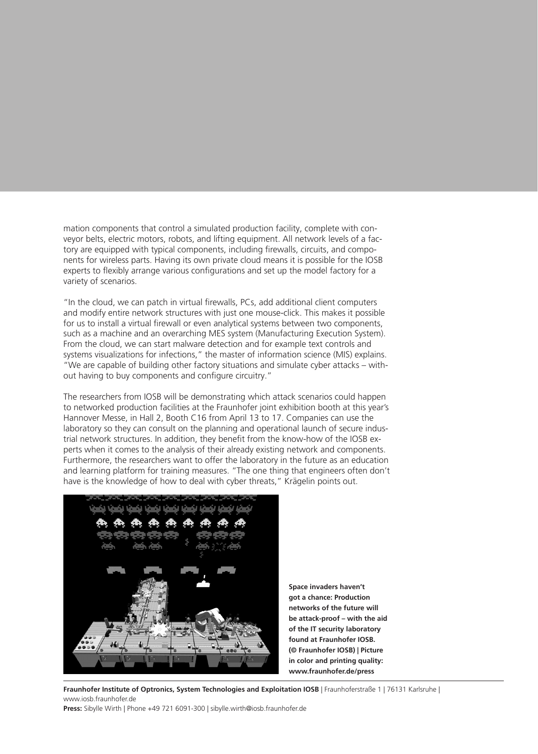mation components that control a simulated production facility, complete with conveyor belts, electric motors, robots, and lifting equipment. All network levels of a factory are equipped with typical components, including firewalls, circuits, and components for wireless parts. Having its own private cloud means it is possible for the IOSB experts to flexibly arrange various configurations and set up the model factory for a variety of scenarios.

"In the cloud, we can patch in virtual firewalls, PCs, add additional client computers and modify entire network structures with just one mouse-click. This makes it possible for us to install a virtual firewall or even analytical systems between two components, such as a machine and an overarching MES system (Manufacturing Execution System). From the cloud, we can start malware detection and for example text controls and systems visualizations for infections," the master of information science (MIS) explains. "We are capable of building other factory situations and simulate cyber attacks – without having to buy components and configure circuitry."

The researchers from IOSB will be demonstrating which attack scenarios could happen to networked production facilities at the Fraunhofer joint exhibition booth at this year's Hannover Messe, in Hall 2, Booth C16 from April 13 to 17. Companies can use the laboratory so they can consult on the planning and operational launch of secure industrial network structures. In addition, they benefit from the know-how of the IOSB experts when it comes to the analysis of their already existing network and components. Furthermore, the researchers want to offer the laboratory in the future as an education and learning platform for training measures. "The one thing that engineers often don't have is the knowledge of how to deal with cyber threats," Krägelin points out.



**Space invaders haven't got a chance: Production networks of the future will be attack-proof – with the aid of the IT security laboratory found at Fraunhofer IOSB. (© Fraunhofer IOSB) | Picture in color and printing quality: www.fraunhofer.de/press**

**Fraunhofer Institute of Optronics, System Technologies and Exploitation IOSB** | Fraunhoferstraße 1 | 76131 Karlsruhe | www.iosb.fraunhofer.de

**Press:** Sibylle Wirth | Phone +49 721 6091-300 | sibylle.wirth@iosb.fraunhofer.de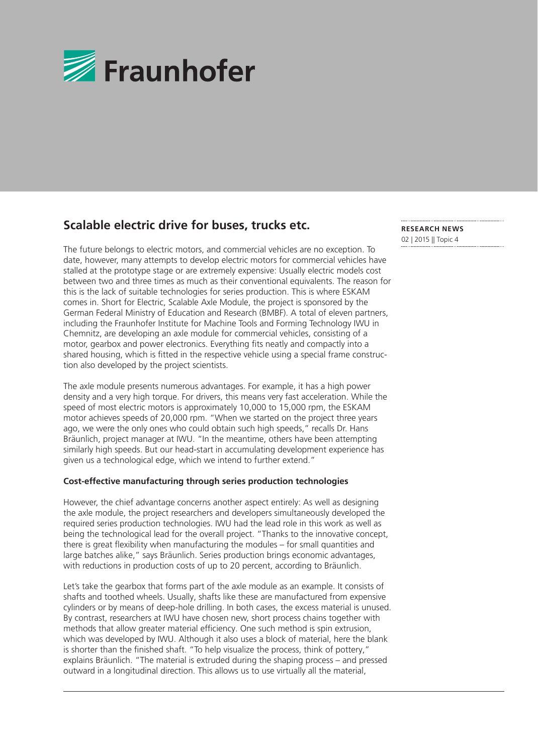

## **Scalable electric drive for buses, trucks etc.**

The future belongs to electric motors, and commercial vehicles are no exception. To date, however, many attempts to develop electric motors for commercial vehicles have stalled at the prototype stage or are extremely expensive: Usually electric models cost between two and three times as much as their conventional equivalents. The reason for this is the lack of suitable technologies for series production. This is where ESKAM comes in. Short for Electric, Scalable Axle Module, the project is sponsored by the German Federal Ministry of Education and Research (BMBF). A total of eleven partners, including the Fraunhofer Institute for Machine Tools and Forming Technology IWU in Chemnitz, are developing an axle module for commercial vehicles, consisting of a motor, gearbox and power electronics. Everything fits neatly and compactly into a shared housing, which is fitted in the respective vehicle using a special frame construction also developed by the project scientists.

The axle module presents numerous advantages. For example, it has a high power density and a very high torque. For drivers, this means very fast acceleration. While the speed of most electric motors is approximately 10,000 to 15,000 rpm, the ESKAM motor achieves speeds of 20,000 rpm. "When we started on the project three years ago, we were the only ones who could obtain such high speeds," recalls Dr. Hans Bräunlich, project manager at IWU. "In the meantime, others have been attempting similarly high speeds. But our head-start in accumulating development experience has given us a technological edge, which we intend to further extend."

#### **Cost-effective manufacturing through series production technologies**

However, the chief advantage concerns another aspect entirely: As well as designing the axle module, the project researchers and developers simultaneously developed the required series production technologies. IWU had the lead role in this work as well as being the technological lead for the overall project. "Thanks to the innovative concept, there is great flexibility when manufacturing the modules – for small quantities and large batches alike," says Bräunlich. Series production brings economic advantages, with reductions in production costs of up to 20 percent, according to Bräunlich.

Let's take the gearbox that forms part of the axle module as an example. It consists of shafts and toothed wheels. Usually, shafts like these are manufactured from expensive cylinders or by means of deep-hole drilling. In both cases, the excess material is unused. By contrast, researchers at IWU have chosen new, short process chains together with methods that allow greater material efficiency. One such method is spin extrusion, which was developed by IWU. Although it also uses a block of material, here the blank is shorter than the finished shaft. "To help visualize the process, think of pottery," explains Bräunlich. "The material is extruded during the shaping process – and pressed outward in a longitudinal direction. This allows us to use virtually all the material,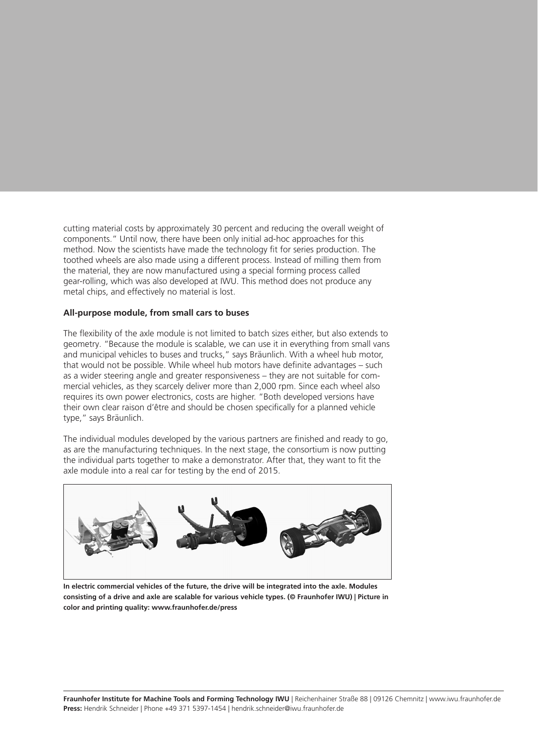cutting material costs by approximately 30 percent and reducing the overall weight of components." Until now, there have been only initial ad-hoc approaches for this method. Now the scientists have made the technology fit for series production. The toothed wheels are also made using a different process. Instead of milling them from the material, they are now manufactured using a special forming process called gear-rolling, which was also developed at IWU. This method does not produce any metal chips, and effectively no material is lost.

#### **All-purpose module, from small cars to buses**

The flexibility of the axle module is not limited to batch sizes either, but also extends to geometry. "Because the module is scalable, we can use it in everything from small vans and municipal vehicles to buses and trucks," says Bräunlich. With a wheel hub motor, that would not be possible. While wheel hub motors have definite advantages – such as a wider steering angle and greater responsiveness – they are not suitable for commercial vehicles, as they scarcely deliver more than 2,000 rpm. Since each wheel also requires its own power electronics, costs are higher. "Both developed versions have their own clear raison d'être and should be chosen specifically for a planned vehicle type," says Bräunlich.

The individual modules developed by the various partners are finished and ready to go, as are the manufacturing techniques. In the next stage, the consortium is now putting the individual parts together to make a demonstrator. After that, they want to fit the axle module into a real car for testing by the end of 2015.



**In electric commercial vehicles of the future, the drive will be integrated into the axle. Modules consisting of a drive and axle are scalable for various vehicle types. (© Fraunhofer IWU) | Picture in color and printing quality: www.fraunhofer.de/press**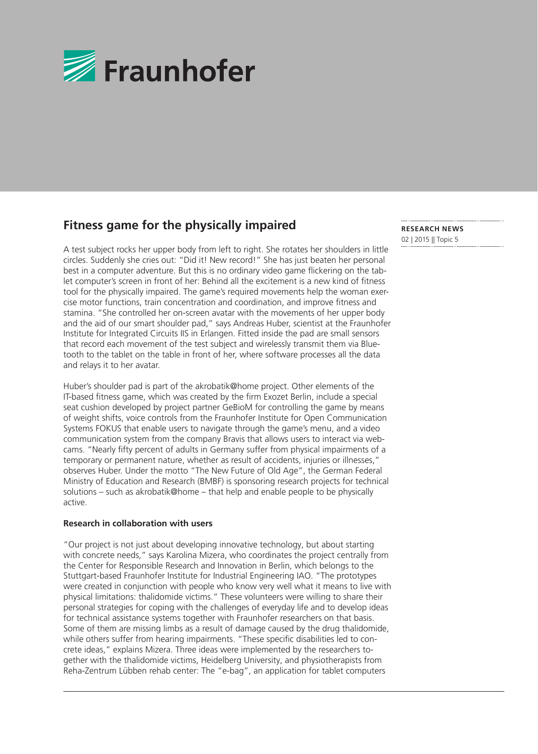

## **Fitness game for the physically impaired**

A test subject rocks her upper body from left to right. She rotates her shoulders in little circles. Suddenly she cries out: "Did it! New record!" She has just beaten her personal best in a computer adventure. But this is no ordinary video game flickering on the tablet computer's screen in front of her: Behind all the excitement is a new kind of fitness tool for the physically impaired. The game's required movements help the woman exercise motor functions, train concentration and coordination, and improve fitness and stamina. "She controlled her on-screen avatar with the movements of her upper body and the aid of our smart shoulder pad," says Andreas Huber, scientist at the Fraunhofer Institute for Integrated Circuits IIS in Erlangen. Fitted inside the pad are small sensors that record each movement of the test subject and wirelessly transmit them via Bluetooth to the tablet on the table in front of her, where software processes all the data and relays it to her avatar.

Huber's shoulder pad is part of the akrobatik@home project. Other elements of the IT-based fitness game, which was created by the firm Exozet Berlin, include a special seat cushion developed by project partner GeBioM for controlling the game by means of weight shifts, voice controls from the Fraunhofer Institute for Open Communication Systems FOKUS that enable users to navigate through the game's menu, and a video communication system from the company Bravis that allows users to interact via webcams. "Nearly fifty percent of adults in Germany suffer from physical impairments of a temporary or permanent nature, whether as result of accidents, injuries or illnesses," observes Huber. Under the motto "The New Future of Old Age", the German Federal Ministry of Education and Research (BMBF) is sponsoring research projects for technical solutions – such as akrobatik@home – that help and enable people to be physically active.

#### **Research in collaboration with users**

"Our project is not just about developing innovative technology, but about starting with concrete needs," says Karolina Mizera, who coordinates the project centrally from the Center for Responsible Research and Innovation in Berlin, which belongs to the Stuttgart-based Fraunhofer Institute for Industrial Engineering IAO. "The prototypes were created in conjunction with people who know very well what it means to live with physical limitations: thalidomide victims." These volunteers were willing to share their personal strategies for coping with the challenges of everyday life and to develop ideas for technical assistance systems together with Fraunhofer researchers on that basis. Some of them are missing limbs as a result of damage caused by the drug thalidomide, while others suffer from hearing impairments. "These specific disabilities led to concrete ideas," explains Mizera. Three ideas were implemented by the researchers together with the thalidomide victims, Heidelberg University, and physiotherapists from Reha-Zentrum Lübben rehab center: The "e-bag", an application for tablet computers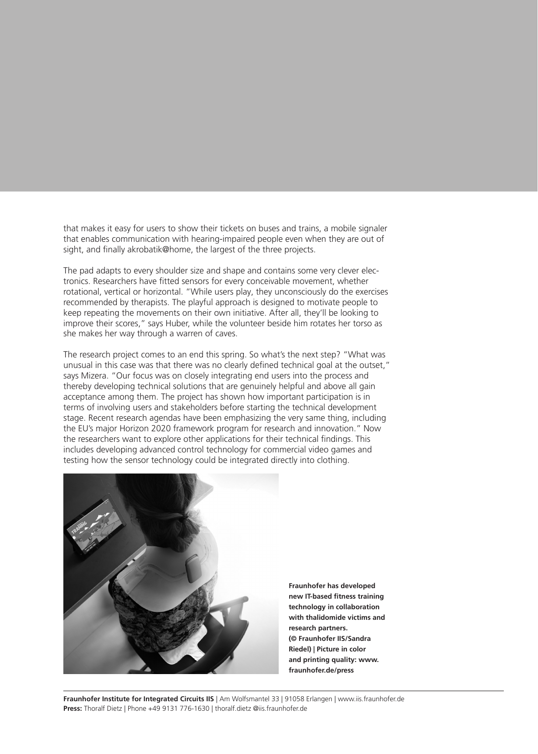that makes it easy for users to show their tickets on buses and trains, a mobile signaler that enables communication with hearing-impaired people even when they are out of sight, and finally akrobatik@home, the largest of the three projects.

The pad adapts to every shoulder size and shape and contains some very clever electronics. Researchers have fitted sensors for every conceivable movement, whether rotational, vertical or horizontal. "While users play, they unconsciously do the exercises recommended by therapists. The playful approach is designed to motivate people to keep repeating the movements on their own initiative. After all, they'll be looking to improve their scores," says Huber, while the volunteer beside him rotates her torso as she makes her way through a warren of caves.

The research project comes to an end this spring. So what's the next step? "What was unusual in this case was that there was no clearly defined technical goal at the outset," says Mizera. "Our focus was on closely integrating end users into the process and thereby developing technical solutions that are genuinely helpful and above all gain acceptance among them. The project has shown how important participation is in terms of involving users and stakeholders before starting the technical development stage. Recent research agendas have been emphasizing the very same thing, including the EU's major Horizon 2020 framework program for research and innovation." Now the researchers want to explore other applications for their technical findings. This includes developing advanced control technology for commercial video games and testing how the sensor technology could be integrated directly into clothing.



**Fraunhofer has developed new IT-based fitness training technology in collaboration with thalidomide victims and research partners. (© Fraunhofer IIS/Sandra Riedel) | Picture in color and printing quality: www. fraunhofer.de/press**

**Fraunhofer Institute for Integrated Circuits IIS** | Am Wolfsmantel 33 | 91058 Erlangen | www.iis.fraunhofer.de **Press:** Thoralf Dietz | Phone +49 9131 776-1630 | thoralf.dietz @iis.fraunhofer.de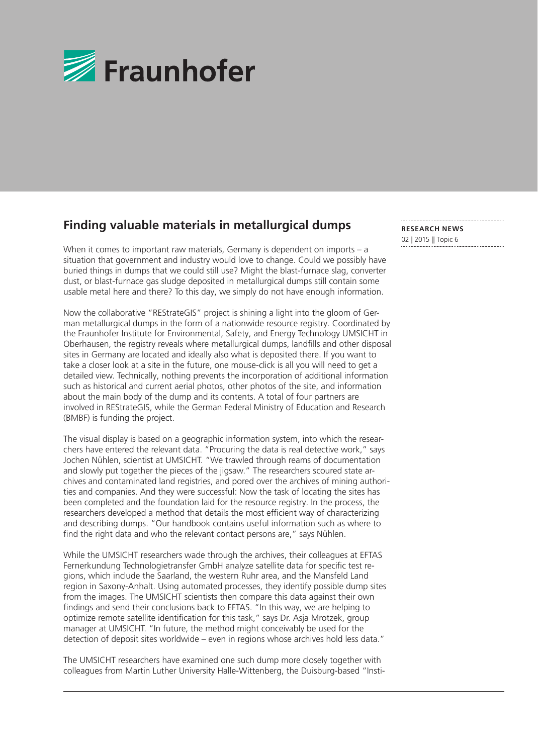

# **Finding valuable materials in metallurgical dumps**

When it comes to important raw materials, Germany is dependent on imports – a situation that government and industry would love to change. Could we possibly have buried things in dumps that we could still use? Might the blast-furnace slag, converter dust, or blast-furnace gas sludge deposited in metallurgical dumps still contain some usable metal here and there? To this day, we simply do not have enough information.

Now the collaborative "REStrateGIS" project is shining a light into the gloom of German metallurgical dumps in the form of a nationwide resource registry. Coordinated by the Fraunhofer Institute for Environmental, Safety, and Energy Technology UMSICHT in Oberhausen, the registry reveals where metallurgical dumps, landfills and other disposal sites in Germany are located and ideally also what is deposited there. If you want to take a closer look at a site in the future, one mouse-click is all you will need to get a detailed view. Technically, nothing prevents the incorporation of additional information such as historical and current aerial photos, other photos of the site, and information about the main body of the dump and its contents. A total of four partners are involved in REStrateGIS, while the German Federal Ministry of Education and Research (BMBF) is funding the project.

The visual display is based on a geographic information system, into which the researchers have entered the relevant data. "Procuring the data is real detective work," says Jochen Nühlen, scientist at UMSICHT. "We trawled through reams of documentation and slowly put together the pieces of the jigsaw." The researchers scoured state archives and contaminated land registries, and pored over the archives of mining authorities and companies. And they were successful: Now the task of locating the sites has been completed and the foundation laid for the resource registry. In the process, the researchers developed a method that details the most efficient way of characterizing and describing dumps. "Our handbook contains useful information such as where to find the right data and who the relevant contact persons are," says Nühlen.

While the UMSICHT researchers wade through the archives, their colleagues at EFTAS Fernerkundung Technologietransfer GmbH analyze satellite data for specific test regions, which include the Saarland, the western Ruhr area, and the Mansfeld Land region in Saxony-Anhalt. Using automated processes, they identify possible dump sites from the images. The UMSICHT scientists then compare this data against their own findings and send their conclusions back to EFTAS. "In this way, we are helping to optimize remote satellite identification for this task," says Dr. Asja Mrotzek, group manager at UMSICHT. "In future, the method might conceivably be used for the detection of deposit sites worldwide – even in regions whose archives hold less data."

The UMSICHT researchers have examined one such dump more closely together with colleagues from Martin Luther University Halle-Wittenberg, the Duisburg-based "Insti-